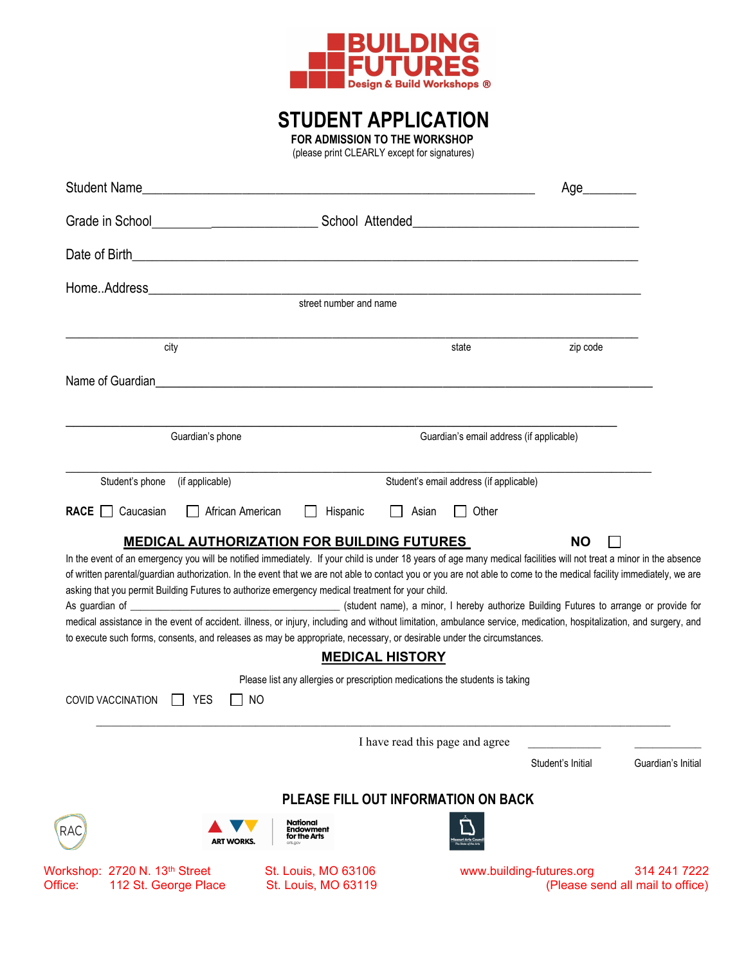

# STUDENT APPLICATION

FOR ADMISSION TO THE WORKSHOP

(please print CLEARLY except for signatures)

| Student Name                                                                 |                                                                                                                                                                                                                                                                                                                                                                                                                                                                                                                                                                                                                                                                                                                                                                                                                                                           |                                          | Age________              |                                                  |
|------------------------------------------------------------------------------|-----------------------------------------------------------------------------------------------------------------------------------------------------------------------------------------------------------------------------------------------------------------------------------------------------------------------------------------------------------------------------------------------------------------------------------------------------------------------------------------------------------------------------------------------------------------------------------------------------------------------------------------------------------------------------------------------------------------------------------------------------------------------------------------------------------------------------------------------------------|------------------------------------------|--------------------------|--------------------------------------------------|
|                                                                              |                                                                                                                                                                                                                                                                                                                                                                                                                                                                                                                                                                                                                                                                                                                                                                                                                                                           |                                          |                          |                                                  |
|                                                                              |                                                                                                                                                                                                                                                                                                                                                                                                                                                                                                                                                                                                                                                                                                                                                                                                                                                           |                                          |                          |                                                  |
|                                                                              | street number and name                                                                                                                                                                                                                                                                                                                                                                                                                                                                                                                                                                                                                                                                                                                                                                                                                                    |                                          |                          |                                                  |
|                                                                              |                                                                                                                                                                                                                                                                                                                                                                                                                                                                                                                                                                                                                                                                                                                                                                                                                                                           |                                          |                          |                                                  |
| city                                                                         |                                                                                                                                                                                                                                                                                                                                                                                                                                                                                                                                                                                                                                                                                                                                                                                                                                                           | state                                    | zip code                 |                                                  |
| Name of Guardian                                                             | <u> 1989 - Jan Samuel Barbara, menyebara besar bagian perangan bagian perangan berasal dari perangan berasal dala</u>                                                                                                                                                                                                                                                                                                                                                                                                                                                                                                                                                                                                                                                                                                                                     |                                          |                          |                                                  |
| Guardian's phone                                                             |                                                                                                                                                                                                                                                                                                                                                                                                                                                                                                                                                                                                                                                                                                                                                                                                                                                           | Guardian's email address (if applicable) |                          |                                                  |
| Student's phone<br>(if applicable)                                           |                                                                                                                                                                                                                                                                                                                                                                                                                                                                                                                                                                                                                                                                                                                                                                                                                                                           | Student's email address (if applicable)  |                          |                                                  |
| <b>RACE</b><br>Caucasian                                                     | African American<br>Hispanic<br><b>MEDICAL AUTHORIZATION FOR BUILDING FUTURES</b>                                                                                                                                                                                                                                                                                                                                                                                                                                                                                                                                                                                                                                                                                                                                                                         | Other<br>Asian                           | <b>NO</b>                |                                                  |
|                                                                              | In the event of an emergency you will be notified immediately. If your child is under 18 years of age many medical facilities will not treat a minor in the absence<br>of written parental/guardian authorization. In the event that we are not able to contact you or you are not able to come to the medical facility immediately, we are<br>asking that you permit Building Futures to authorize emergency medical treatment for your child.<br>medical assistance in the event of accident. illness, or injury, including and without limitation, ambulance service, medication, hospitalization, and surgery, and<br>to execute such forms, consents, and releases as may be appropriate, necessary, or desirable under the circumstances.<br><b>MEDICAL HISTORY</b><br>Please list any allergies or prescription medications the students is taking |                                          |                          |                                                  |
| <b>COVID VACCINATION</b><br><b>YES</b>                                       | NO.                                                                                                                                                                                                                                                                                                                                                                                                                                                                                                                                                                                                                                                                                                                                                                                                                                                       |                                          |                          |                                                  |
|                                                                              |                                                                                                                                                                                                                                                                                                                                                                                                                                                                                                                                                                                                                                                                                                                                                                                                                                                           | I have read this page and agree          | Student's Initial        | Guardian's Initial                               |
|                                                                              |                                                                                                                                                                                                                                                                                                                                                                                                                                                                                                                                                                                                                                                                                                                                                                                                                                                           | PLEASE FILL OUT INFORMATION ON BACK      |                          |                                                  |
| RAC                                                                          | National<br>Endowment<br>for the Arts<br><b>ART WORKS.</b><br>arts.ao                                                                                                                                                                                                                                                                                                                                                                                                                                                                                                                                                                                                                                                                                                                                                                                     |                                          |                          |                                                  |
| Workshop: 2720 N. 13 <sup>th</sup> Street<br>112 St. George Place<br>Office: | St. Louis, MO 63106<br>St. Louis, MO 63119                                                                                                                                                                                                                                                                                                                                                                                                                                                                                                                                                                                                                                                                                                                                                                                                                |                                          | www.building-futures.org | 314 241 7222<br>(Please send all mail to office) |